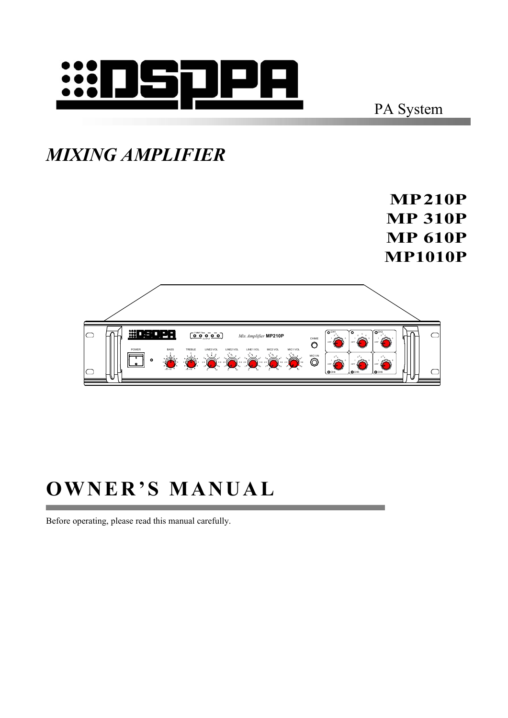

PA System

#### *MIXING AMPLIFIER*

**MP210P MP 310P MP 610P MP1010P**



# **OWNER'S MANUAL**

Before operating, please read this manual carefully.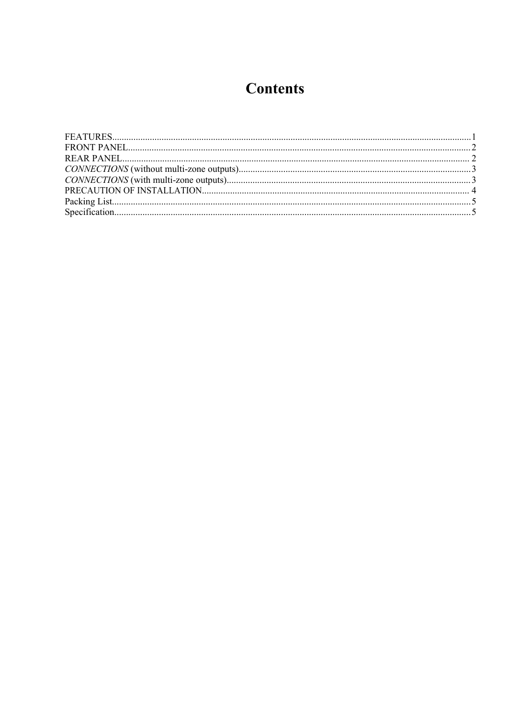#### **Contents**

<span id="page-1-0"></span>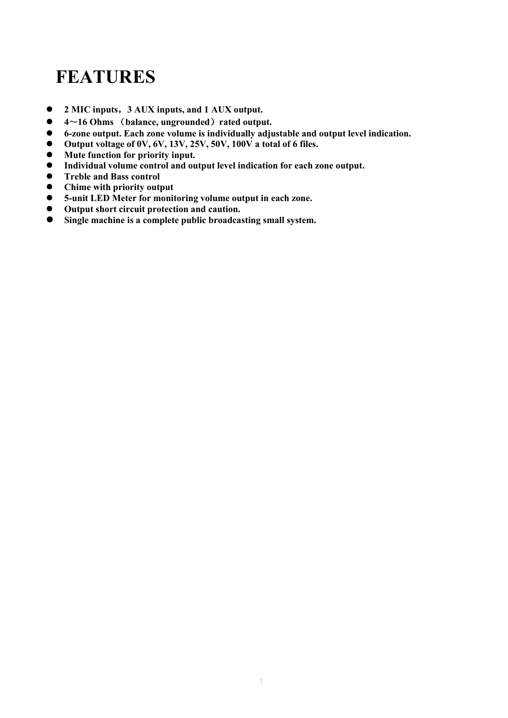# **FEATURES**

- **2 MIC inputs**,**3 AUX inputs, and 1 AUX output.**
- **4**~**16 Ohms** (**balance, ungrounded**)**rated output.**
- **6-zone output. Each zonevolume is individually adjustable and output levelindication.**
- **Output voltage of 0V, 6V, 13V, 25V, 50V, 100V a total of 6 files.**
- **Mute function for priority input.**
- **Individual volume control and output level indication for each zoneoutput.**
- **Treble and Bass control**
- **Chime with priority output**
- **5-unit LED Meter for monitoring volume output in each zone.**
- **Output short circuit protection and caution.**
- **Single machine is a complete public broadcasting small system.**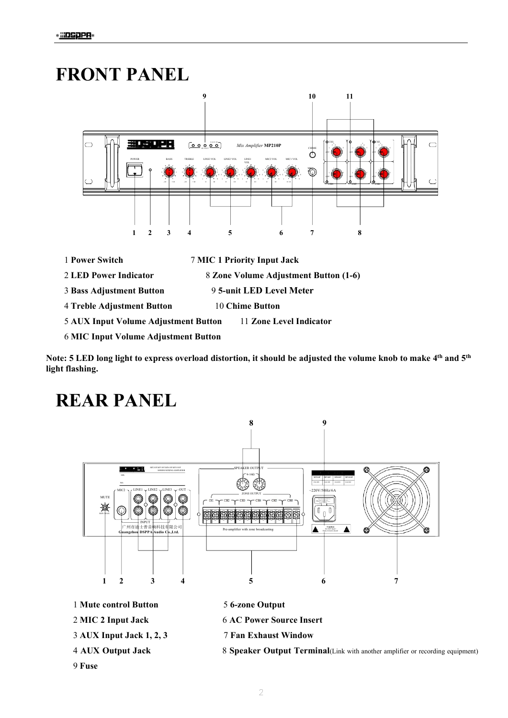### <span id="page-3-0"></span>**FRONT PANEL**



Note: 5 LED long light to express overload distortion, it should be adjusted the volume knob to make 4th and 5th light flashing.

## <span id="page-3-1"></span>**REAR PANEL**



- 1 Mute control Button
- 2 MIC 2 Input Jack
- 3 AUX Input Jack 1, 2, 3
- 4 AUX Output Jack
- 5 6-zone Output
- **6 AC Power Source Insert**
- **7 Fan Exhaust Window**
- 8 Speaker Output Terminal(Link with another amplifier or recording equipment)

9 Fuse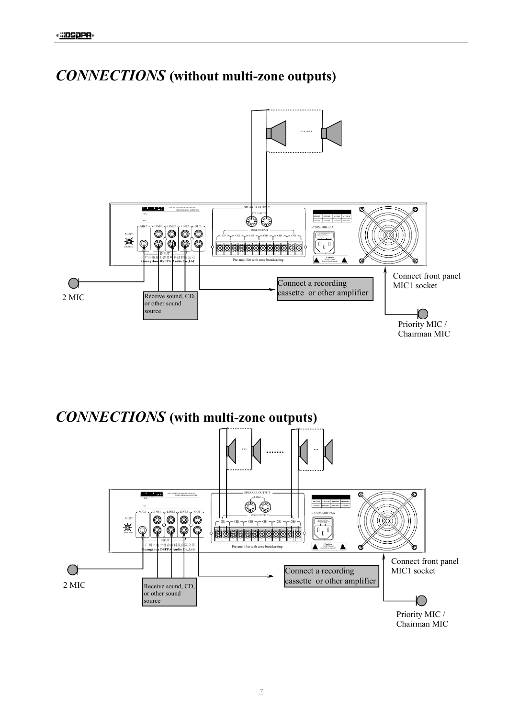

<span id="page-4-0"></span>**CONNECTIONS** (without multi-zone outputs)

<span id="page-4-1"></span>**CONNECTIONS** (with multi-zone outputs) a. œ 60  $20V/50$  $\circ$   $\circ$ O) 變  $\begin{smallmatrix} 0 & 0 \end{smallmatrix}$ Ó 0  $\overline{\Pi}$ ddaaaaaa  $\triangle$   $\frac{\text{Cautio}}{\text{DoNOT Q}}$  $\blacktriangle$ Pre-amplifier with zone broadca œ òa Connect front panel  $\bigcirc$ MIC1 socket Connect a recording cassette or other amplifier  $2$  MIC Receive sound, CD, or other sound source  $\left( \begin{array}{c} 1 \end{array} \right)$ Priority MIC /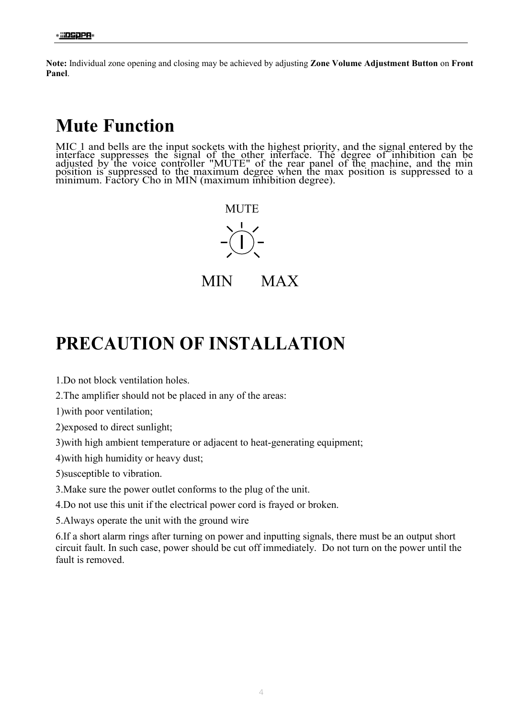**Note:** Individual zone opening and closing may be achieved by adjusting **Zone Volume Adjustment Button** on **Front Panel**.

### **Mute Function**

MIC 1 and bells are the input sockets with the highest priority, and the signal entered by the interface suppresses the signalof the other interface. The degree of inhibition can be adjusted by the voice controller "MUTE" of the rear panel of the machine, and the min position is suppressed to the maximum degree when the max position is suppressed to a minimum. Factory Cho in MIN (maximum inhibition degree).



MIN MAX

#### <span id="page-5-0"></span>**PRECAUTION OF INSTALLATION**

1.Do not block ventilation holes.

2.The amplifier should not be placed in any of the areas:

1)with poor ventilation;

2)exposed to direct sunlight;

3)with high ambient temperature or adjacent to heat-generating equipment;

4)with high humidity or heavy dust;

5)susceptible to vibration.

3.Make sure the power outlet conforms to the plug of the unit.

4.Do not use this unit if the electrical power cord is frayed or broken.

5.Always operate the unit with the ground wire

6.If a short alarm rings after turning on power and inputting signals, there must be an output short circuit fault. In such case, power should be cut off immediately. Do not turn on the power until the fault is removed.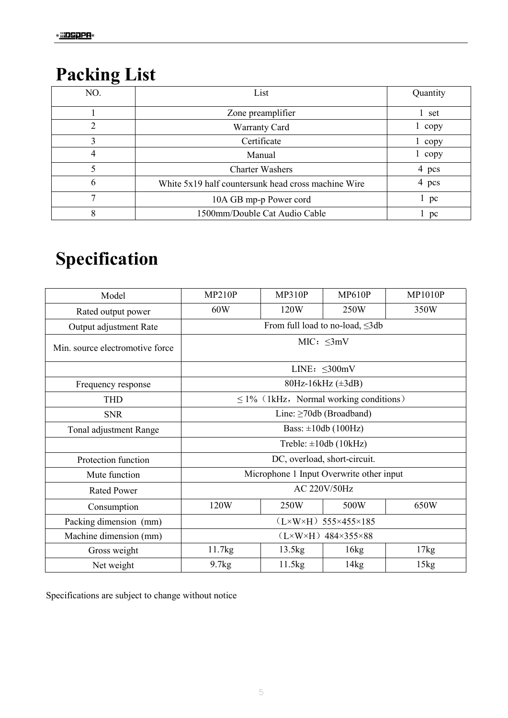# <span id="page-6-0"></span>**Packing List**

| 〜   |                                                     |          |
|-----|-----------------------------------------------------|----------|
| NO. | List                                                | Quantity |
|     | Zone preamplifier                                   | 1 set    |
| 2   | <b>Warranty Card</b>                                | copy     |
| 3   | Certificate                                         | copy     |
| 4   | Manual                                              | copy     |
|     | <b>Charter Washers</b>                              | 4 pcs    |
| 6   | White 5x19 half countersunk head cross machine Wire | 4 pcs    |
| ⇁   | 10A GB mp-p Power cord                              | 1~pc     |
| 8   | 1500mm/Double Cat Audio Cable                       | pc       |

# <span id="page-6-1"></span>**Specification**

| Model                           | MP210P                                      | MP310P | MP610P | <b>MP1010P</b> |  |  |
|---------------------------------|---------------------------------------------|--------|--------|----------------|--|--|
| Rated output power              | 60W                                         | 120W   | 250W   | 350W           |  |  |
| Output adjustment Rate          | From full load to no-load, ≤3db             |        |        |                |  |  |
| Min. source electromotive force | MIC: $\leq 3mV$                             |        |        |                |  |  |
|                                 | LINE: $\leq$ 300mV                          |        |        |                |  |  |
| Frequency response              | 80Hz-16kHz $(\pm 3dB)$                      |        |        |                |  |  |
| <b>THD</b>                      | $\leq$ 1% (1kHz, Normal working conditions) |        |        |                |  |  |
| <b>SNR</b>                      | Line: $\geq$ 70db (Broadband)               |        |        |                |  |  |
| Tonal adjustment Range          | Bass: $\pm 10db$ (100Hz)                    |        |        |                |  |  |
|                                 | Treble: $\pm 10db$ (10kHz)                  |        |        |                |  |  |
| Protection function             | DC, overload, short-circuit.                |        |        |                |  |  |
| Mute function                   | Microphone 1 Input Overwrite other input    |        |        |                |  |  |
| <b>Rated Power</b>              | AC 220V/50Hz                                |        |        |                |  |  |
| Consumption                     | 120W                                        | 250W   | 500W   | 650W           |  |  |
| Packing dimension (mm)          | $(L \times W \times H)$ 555×455×185         |        |        |                |  |  |
| Machine dimension (mm)          | $(L \times W \times H)$ 484×355×88          |        |        |                |  |  |
| Gross weight                    | 11.7kg                                      | 13.5kg | 16kg   | 17kg           |  |  |
| Net weight                      | 9.7kg                                       | 11.5kg | 14kg   | 15kg           |  |  |

Specifications are subject to change without notice